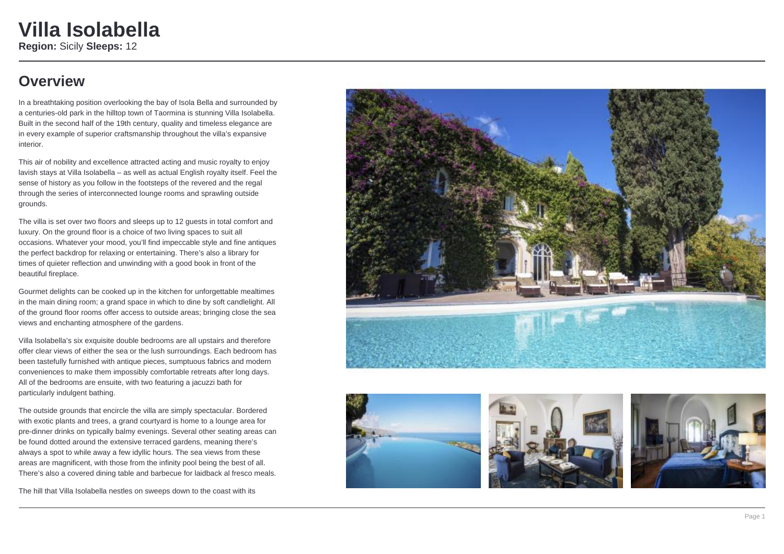### **Overview**

In a breathtaking position overlooking the bay of Isola Bella and surrounded by a centuries-old park in the hilltop town of Taormina is stunning Villa Isolabella. Built in the second half of the 19th century, quality and timeless elegance are in every example of superior craftsmanship throughout the villa's expansive interior.

This air of nobility and excellence attracted acting and music royalty to enjoy lavish stays at Villa Isolabella – as well as actual English royalty itself. Feel the sense of history as you follow in the footsteps of the revered and the regal through the series of interconnected lounge rooms and sprawling outside grounds.

The villa is set over two floors and sleeps up to 12 guests in total comfort and luxury. On the ground floor is a choice of two living spaces to suit all occasions. Whatever your mood, you'll find impeccable style and fine antiques the perfect backdrop for relaxing or entertaining. There's also a library for times of quieter reflection and unwinding with a good book in front of the beautiful fireplace.

Gourmet delights can be cooked up in the kitchen for unforgettable mealtimes in the main dining room; a grand space in which to dine by soft candlelight. All of the ground floor rooms offer access to outside areas; bringing close the sea views and enchanting atmosphere of the gardens.

Villa Isolabella's six exquisite double bedrooms are all upstairs and therefore offer clear views of either the sea or the lush surroundings. Each bedroom has been tastefully furnished with antique pieces, sumptuous fabrics and modern conveniences to make them impossibly comfortable retreats after long days. All of the bedrooms are ensuite, with two featuring a jacuzzi bath for particularly indulgent bathing.

The outside grounds that encircle the villa are simply spectacular. Bordered with exotic plants and trees, a grand courtyard is home to a lounge area for pre-dinner drinks on typically balmy evenings. Several other seating areas can be found dotted around the extensive terraced gardens, meaning there's always a spot to while away a few idyllic hours. The sea views from these areas are magnificent, with those from the infinity pool being the best of all. There's also a covered dining table and barbecue for laidback al fresco meals.

The hill that Villa Isolabella nestles on sweeps down to the coast with its







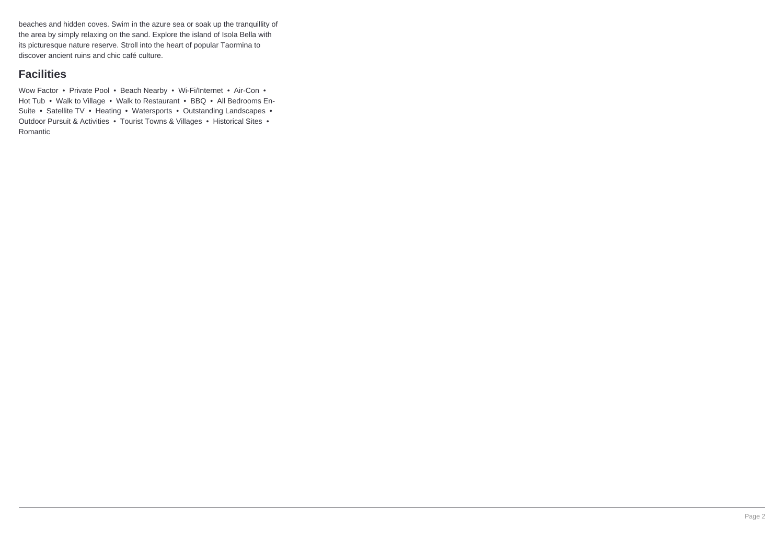beaches and hidden coves. Swim in the azure sea or soak up the tranquillity of the area by simply relaxing on the sand. Explore the island of Isola Bella with its picturesque nature reserve. Stroll into the heart of popular Taormina to discover ancient ruins and chic café culture.

### **Facilities**

Wow Factor • Private Pool • Beach Nearby • Wi-Fi/Internet • Air-Con • Hot Tub • Walk to Village • Walk to Restaurant • BBQ • All Bedrooms En-Suite • Satellite TV • Heating • Watersports • Outstanding Landscapes • Outdoor Pursuit & Activities • Tourist Towns & Villages • Historical Sites • Romantic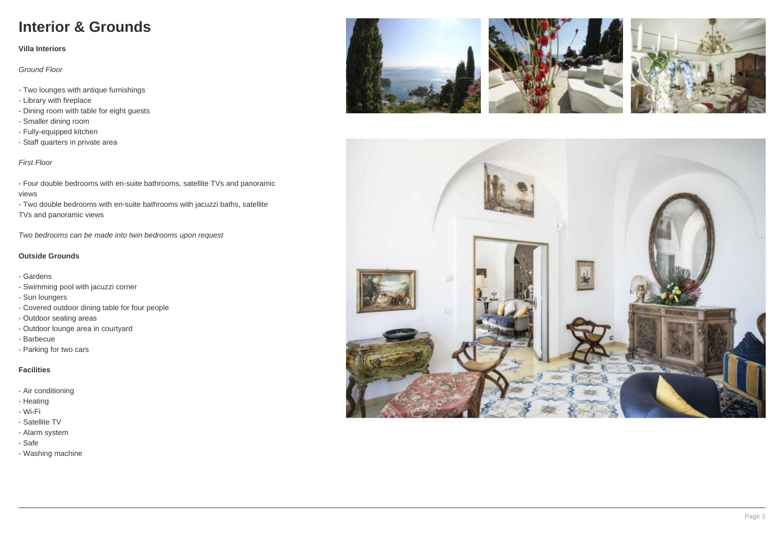## **Interior & Grounds**

#### **Villa Interiors**

Ground Floor

- Two lounges with antique furnishings
- Library with fireplace
- Dining room with table for eight guests
- Smaller dining room
- Fully-equipped kitchen
- Staff quarters in private area

#### First Floor

- Four double bedrooms with en-suite bathrooms, satellite TVs and panoramic views

- Two double bedrooms with en-suite bathrooms with jacuzzi baths, satellite TVs and panoramic views

Two bedrooms can be made into twin bedrooms upon request

#### **Outside Grounds**

- Gardens
- Swimming pool with jacuzzi corner
- Sun loungers
- Covered outdoor dining table for four people
- Outdoor seating areas
- Outdoor lounge area in courtyard
- Barbecue
- Parking for two cars

#### **Facilities**

- Air conditioning
- Heating
- Wi-Fi
- Satellite TV
- Alarm system
- Safe
- Washing machine







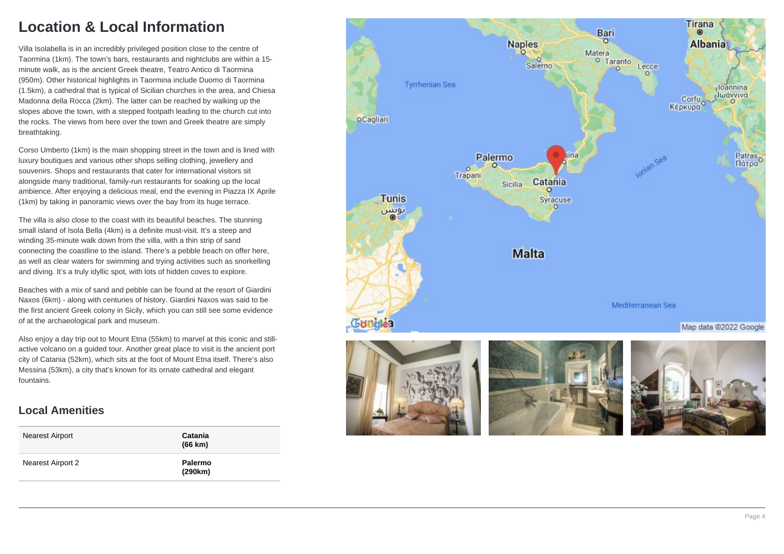### **Location & Local Information**

Villa Isolabella is in an incredibly privileged position close to the centre of Taormina (1km). The town's bars, restaurants and nightclubs are within a 15 minute walk, as is the ancient Greek theatre, Teatro Antico di Taormina (950m). Other historical highlights in Taormina include Duomo di Taormina (1.5km), a cathedral that is typical of Sicilian churches in the area, and Chiesa Madonna della Rocca (2km). The latter can be reached by walking up the slopes above the town, with a stepped footpath leading to the church cut into the rocks. The views from here over the town and Greek theatre are simply breathtaking.

Corso Umberto (1km) is the main shopping street in the town and is lined with luxury boutiques and various other shops selling clothing, jewellery and souvenirs. Shops and restaurants that cater for international visitors sit alongside many traditional, family-run restaurants for soaking up the local ambience. After enjoying a delicious meal, end the evening in Piazza IX Aprile (1km) by taking in panoramic views over the bay from its huge terrace.

The villa is also close to the coast with its beautiful beaches. The stunning small island of Isola Bella (4km) is a definite must-visit. It's a steep and winding 35-minute walk down from the villa, with a thin strip of sand connecting the coastline to the island. There's a pebble beach on offer here, as well as clear waters for swimming and trying activities such as snorkelling and diving. It's a truly idyllic spot, with lots of hidden coves to explore.

Beaches with a mix of sand and pebble can be found at the resort of Giardini Naxos (6km) - along with centuries of history. Giardini Naxos was said to be the first ancient Greek colony in Sicily, which you can still see some evidence of at the archaeological park and museum.

Also enjoy a day trip out to Mount Etna (55km) to marvel at this iconic and stillactive volcano on a guided tour. Another great place to visit is the ancient port city of Catania (52km), which sits at the foot of Mount Etna itself. There's also Messina (53km), a city that's known for its ornate cathedral and elegant fountains.

### **Local Amenities**

| Nearest Airport   | Catania<br>(66 km) |
|-------------------|--------------------|
| Nearest Airport 2 | Palermo<br>(290km) |

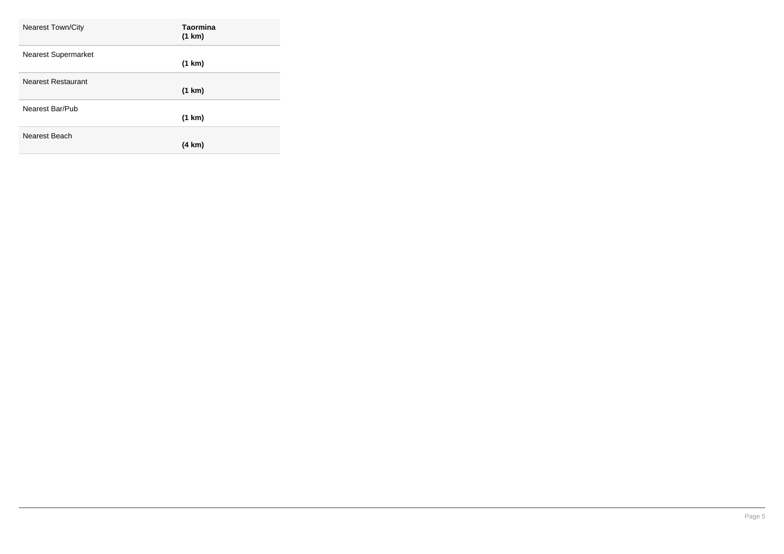| <b>Nearest Town/City</b>   | Taormina<br>(1 km) |
|----------------------------|--------------------|
| <b>Nearest Supermarket</b> | (1 km)             |
| <b>Nearest Restaurant</b>  | (1 km)             |
| Nearest Bar/Pub            | (1 km)             |
| Nearest Beach              | (4 km)             |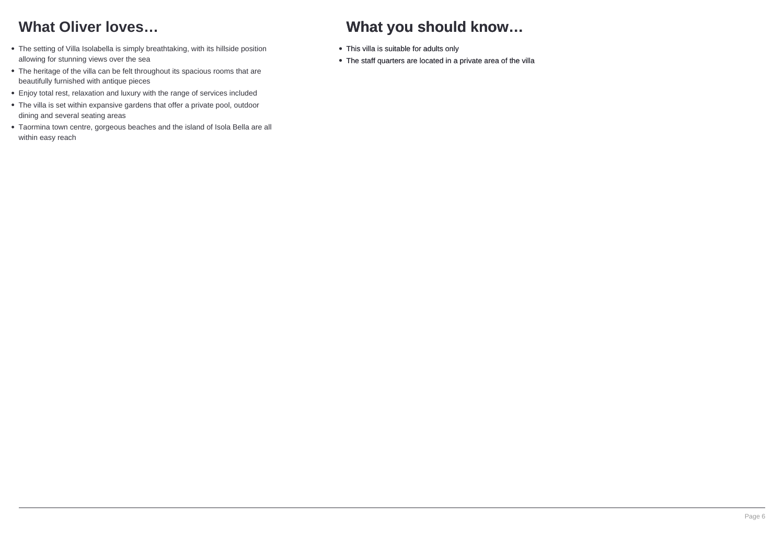## **What Oliver loves…**

- The setting of Villa Isolabella is simply breathtaking, with its hillside position allowing for stunning views over the sea
- The heritage of the villa can be felt throughout its spacious rooms that are beautifully furnished with antique pieces
- Enjoy total rest, relaxation and luxury with the range of services included
- The villa is set within expansive gardens that offer a private pool, outdoor dining and several seating areas
- Taormina town centre, gorgeous beaches and the island of Isola Bella are all within easy reach

# **What you should know…**

- This villa is suitable for adults only
- The staff quarters are located in a private area of the villa